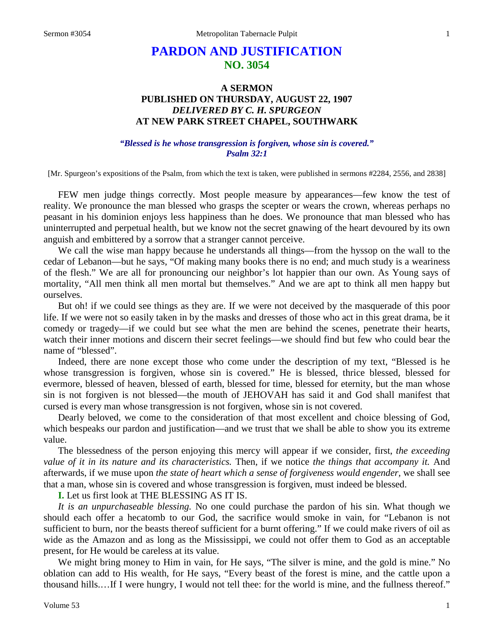# **PARDON AND JUSTIFICATION NO. 3054**

## **A SERMON PUBLISHED ON THURSDAY, AUGUST 22, 1907** *DELIVERED BY C. H. SPURGEON* **AT NEW PARK STREET CHAPEL, SOUTHWARK**

## *"Blessed is he whose transgression is forgiven, whose sin is covered." Psalm 32:1*

[Mr. Spurgeon's expositions of the Psalm, from which the text is taken, were published in sermons #2284, 2556, and 2838]

FEW men judge things correctly. Most people measure by appearances—few know the test of reality. We pronounce the man blessed who grasps the scepter or wears the crown, whereas perhaps no peasant in his dominion enjoys less happiness than he does. We pronounce that man blessed who has uninterrupted and perpetual health, but we know not the secret gnawing of the heart devoured by its own anguish and embittered by a sorrow that a stranger cannot perceive.

We call the wise man happy because he understands all things—from the hyssop on the wall to the cedar of Lebanon—but he says, "Of making many books there is no end; and much study is a weariness of the flesh." We are all for pronouncing our neighbor's lot happier than our own. As Young says of mortality, "All men think all men mortal but themselves." And we are apt to think all men happy but ourselves.

But oh! if we could see things as they are. If we were not deceived by the masquerade of this poor life. If we were not so easily taken in by the masks and dresses of those who act in this great drama, be it comedy or tragedy—if we could but see what the men are behind the scenes, penetrate their hearts, watch their inner motions and discern their secret feelings—we should find but few who could bear the name of "blessed".

Indeed, there are none except those who come under the description of my text, "Blessed is he whose transgression is forgiven, whose sin is covered." He is blessed, thrice blessed, blessed for evermore, blessed of heaven, blessed of earth, blessed for time, blessed for eternity, but the man whose sin is not forgiven is not blessed—the mouth of JEHOVAH has said it and God shall manifest that cursed is every man whose transgression is not forgiven, whose sin is not covered.

Dearly beloved, we come to the consideration of that most excellent and choice blessing of God, which bespeaks our pardon and justification—and we trust that we shall be able to show you its extreme value.

The blessedness of the person enjoying this mercy will appear if we consider, first, *the exceeding value of it in its nature and its characteristics.* Then, if we notice *the things that accompany it.* And afterwards, if we muse upon *the state of heart which a sense of forgiveness would engender,* we shall see that a man, whose sin is covered and whose transgression is forgiven, must indeed be blessed.

**I.** Let us first look at THE BLESSING AS IT IS.

*It is an unpurchaseable blessing.* No one could purchase the pardon of his sin. What though we should each offer a hecatomb to our God, the sacrifice would smoke in vain, for "Lebanon is not sufficient to burn, nor the beasts thereof sufficient for a burnt offering." If we could make rivers of oil as wide as the Amazon and as long as the Mississippi, we could not offer them to God as an acceptable present, for He would be careless at its value.

We might bring money to Him in vain, for He says, "The silver is mine, and the gold is mine." No oblation can add to His wealth, for He says, "Every beast of the forest is mine, and the cattle upon a thousand hills.…If I were hungry, I would not tell thee: for the world is mine, and the fullness thereof."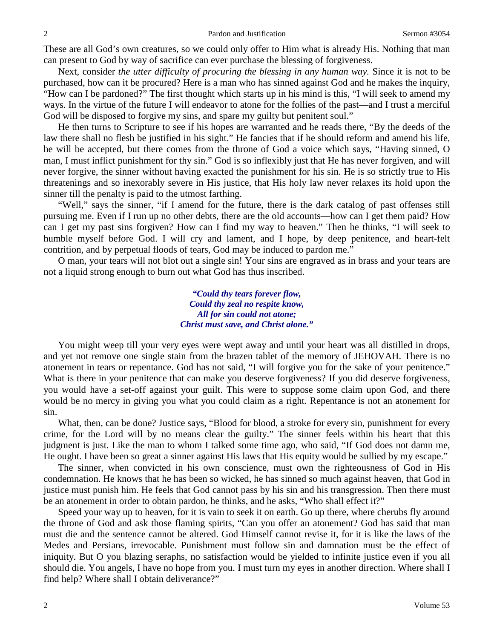These are all God's own creatures, so we could only offer to Him what is already His. Nothing that man can present to God by way of sacrifice can ever purchase the blessing of forgiveness.

Next, consider *the utter difficulty of procuring the blessing in any human way.* Since it is not to be purchased, how can it be procured? Here is a man who has sinned against God and he makes the inquiry, "How can I be pardoned?" The first thought which starts up in his mind is this, "I will seek to amend my ways. In the virtue of the future I will endeavor to atone for the follies of the past—and I trust a merciful God will be disposed to forgive my sins, and spare my guilty but penitent soul."

He then turns to Scripture to see if his hopes are warranted and he reads there, "By the deeds of the law there shall no flesh be justified in his sight." He fancies that if he should reform and amend his life, he will be accepted, but there comes from the throne of God a voice which says, "Having sinned, O man, I must inflict punishment for thy sin." God is so inflexibly just that He has never forgiven, and will never forgive, the sinner without having exacted the punishment for his sin. He is so strictly true to His threatenings and so inexorably severe in His justice, that His holy law never relaxes its hold upon the sinner till the penalty is paid to the utmost farthing.

"Well," says the sinner, "if I amend for the future, there is the dark catalog of past offenses still pursuing me. Even if I run up no other debts, there are the old accounts—how can I get them paid? How can I get my past sins forgiven? How can I find my way to heaven." Then he thinks, "I will seek to humble myself before God. I will cry and lament, and I hope, by deep penitence, and heart-felt contrition, and by perpetual floods of tears, God may be induced to pardon me."

O man, your tears will not blot out a single sin! Your sins are engraved as in brass and your tears are not a liquid strong enough to burn out what God has thus inscribed.

> *"Could thy tears forever flow, Could thy zeal no respite know, All for sin could not atone; Christ must save, and Christ alone."*

You might weep till your very eyes were wept away and until your heart was all distilled in drops, and yet not remove one single stain from the brazen tablet of the memory of JEHOVAH. There is no atonement in tears or repentance. God has not said, "I will forgive you for the sake of your penitence." What is there in your penitence that can make you deserve forgiveness? If you did deserve forgiveness, you would have a set-off against your guilt. This were to suppose some claim upon God, and there would be no mercy in giving you what you could claim as a right. Repentance is not an atonement for sin.

What, then, can be done? Justice says, "Blood for blood, a stroke for every sin, punishment for every crime, for the Lord will by no means clear the guilty." The sinner feels within his heart that this judgment is just. Like the man to whom I talked some time ago, who said, "If God does not damn me, He ought. I have been so great a sinner against His laws that His equity would be sullied by my escape."

The sinner, when convicted in his own conscience, must own the righteousness of God in His condemnation. He knows that he has been so wicked, he has sinned so much against heaven, that God in justice must punish him. He feels that God cannot pass by his sin and his transgression. Then there must be an atonement in order to obtain pardon, he thinks, and he asks, "Who shall effect it?"

Speed your way up to heaven, for it is vain to seek it on earth. Go up there, where cherubs fly around the throne of God and ask those flaming spirits, "Can you offer an atonement? God has said that man must die and the sentence cannot be altered. God Himself cannot revise it, for it is like the laws of the Medes and Persians, irrevocable. Punishment must follow sin and damnation must be the effect of iniquity. But O you blazing seraphs, no satisfaction would be yielded to infinite justice even if you all should die. You angels, I have no hope from you. I must turn my eyes in another direction. Where shall I find help? Where shall I obtain deliverance?"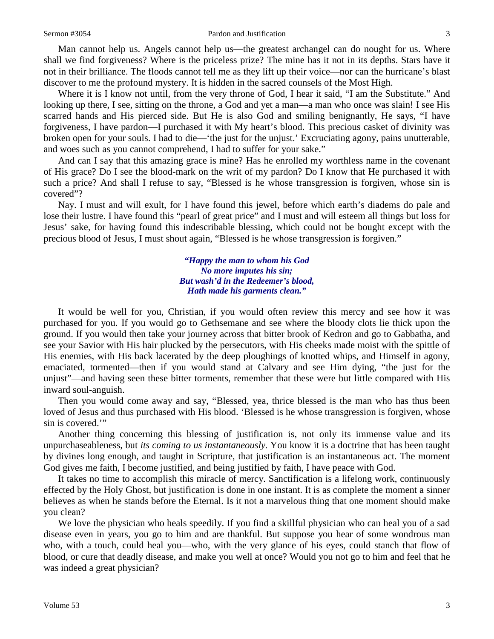#### Sermon #3054 **Pardon and Justification** 3

Man cannot help us. Angels cannot help us—the greatest archangel can do nought for us. Where shall we find forgiveness? Where is the priceless prize? The mine has it not in its depths. Stars have it not in their brilliance. The floods cannot tell me as they lift up their voice—nor can the hurricane's blast discover to me the profound mystery. It is hidden in the sacred counsels of the Most High.

Where it is I know not until, from the very throne of God, I hear it said, "I am the Substitute." And looking up there, I see, sitting on the throne, a God and yet a man—a man who once was slain! I see His scarred hands and His pierced side. But He is also God and smiling benignantly, He says, "I have forgiveness, I have pardon—I purchased it with My heart's blood. This precious casket of divinity was broken open for your souls. I had to die—'the just for the unjust.' Excruciating agony, pains unutterable, and woes such as you cannot comprehend, I had to suffer for your sake."

And can I say that this amazing grace is mine? Has he enrolled my worthless name in the covenant of His grace? Do I see the blood-mark on the writ of my pardon? Do I know that He purchased it with such a price? And shall I refuse to say, "Blessed is he whose transgression is forgiven, whose sin is covered"?

Nay. I must and will exult, for I have found this jewel, before which earth's diadems do pale and lose their lustre. I have found this "pearl of great price" and I must and will esteem all things but loss for Jesus' sake, for having found this indescribable blessing, which could not be bought except with the precious blood of Jesus, I must shout again, "Blessed is he whose transgression is forgiven."

> *"Happy the man to whom his God No more imputes his sin; But wash'd in the Redeemer's blood, Hath made his garments clean."*

It would be well for you, Christian, if you would often review this mercy and see how it was purchased for you. If you would go to Gethsemane and see where the bloody clots lie thick upon the ground. If you would then take your journey across that bitter brook of Kedron and go to Gabbatha, and see your Savior with His hair plucked by the persecutors, with His cheeks made moist with the spittle of His enemies, with His back lacerated by the deep ploughings of knotted whips, and Himself in agony, emaciated, tormented—then if you would stand at Calvary and see Him dying, "the just for the unjust"—and having seen these bitter torments, remember that these were but little compared with His inward soul-anguish.

Then you would come away and say, "Blessed, yea, thrice blessed is the man who has thus been loved of Jesus and thus purchased with His blood. 'Blessed is he whose transgression is forgiven, whose sin is covered.'"

Another thing concerning this blessing of justification is, not only its immense value and its unpurchaseableness, but *its coming to us instantaneously.* You know it is a doctrine that has been taught by divines long enough, and taught in Scripture, that justification is an instantaneous act. The moment God gives me faith, I become justified, and being justified by faith, I have peace with God.

It takes no time to accomplish this miracle of mercy. Sanctification is a lifelong work, continuously effected by the Holy Ghost, but justification is done in one instant. It is as complete the moment a sinner believes as when he stands before the Eternal. Is it not a marvelous thing that one moment should make you clean?

We love the physician who heals speedily. If you find a skillful physician who can heal you of a sad disease even in years, you go to him and are thankful. But suppose you hear of some wondrous man who, with a touch, could heal you—who, with the very glance of his eyes, could stanch that flow of blood, or cure that deadly disease, and make you well at once? Would you not go to him and feel that he was indeed a great physician?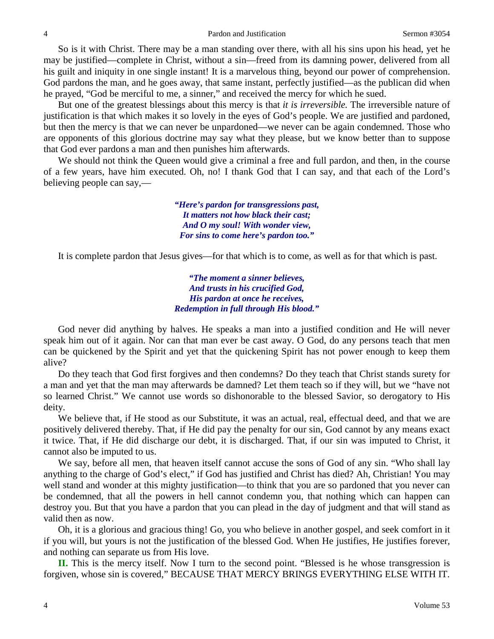So is it with Christ. There may be a man standing over there, with all his sins upon his head, yet he may be justified—complete in Christ, without a sin—freed from its damning power, delivered from all his guilt and iniquity in one single instant! It is a marvelous thing, beyond our power of comprehension. God pardons the man, and he goes away, that same instant, perfectly justified—as the publican did when he prayed, "God be merciful to me, a sinner," and received the mercy for which he sued.

But one of the greatest blessings about this mercy is that *it is irreversible.* The irreversible nature of justification is that which makes it so lovely in the eyes of God's people. We are justified and pardoned, but then the mercy is that we can never be unpardoned—we never can be again condemned. Those who are opponents of this glorious doctrine may say what they please, but we know better than to suppose that God ever pardons a man and then punishes him afterwards.

We should not think the Queen would give a criminal a free and full pardon, and then, in the course of a few years, have him executed. Oh, no! I thank God that I can say, and that each of the Lord's believing people can say,—

> *"Here's pardon for transgressions past, It matters not how black their cast; And O my soul! With wonder view, For sins to come here's pardon too."*

It is complete pardon that Jesus gives—for that which is to come, as well as for that which is past.

*"The moment a sinner believes, And trusts in his crucified God, His pardon at once he receives, Redemption in full through His blood."*

God never did anything by halves. He speaks a man into a justified condition and He will never speak him out of it again. Nor can that man ever be cast away. O God, do any persons teach that men can be quickened by the Spirit and yet that the quickening Spirit has not power enough to keep them alive?

Do they teach that God first forgives and then condemns? Do they teach that Christ stands surety for a man and yet that the man may afterwards be damned? Let them teach so if they will, but we "have not so learned Christ." We cannot use words so dishonorable to the blessed Savior, so derogatory to His deity.

We believe that, if He stood as our Substitute, it was an actual, real, effectual deed, and that we are positively delivered thereby. That, if He did pay the penalty for our sin, God cannot by any means exact it twice. That, if He did discharge our debt, it is discharged. That, if our sin was imputed to Christ, it cannot also be imputed to us.

We say, before all men, that heaven itself cannot accuse the sons of God of any sin. "Who shall lay anything to the charge of God's elect," if God has justified and Christ has died? Ah, Christian! You may well stand and wonder at this mighty justification—to think that you are so pardoned that you never can be condemned, that all the powers in hell cannot condemn you, that nothing which can happen can destroy you. But that you have a pardon that you can plead in the day of judgment and that will stand as valid then as now.

Oh, it is a glorious and gracious thing! Go, you who believe in another gospel, and seek comfort in it if you will, but yours is not the justification of the blessed God. When He justifies, He justifies forever, and nothing can separate us from His love.

**II.** This is the mercy itself. Now I turn to the second point. "Blessed is he whose transgression is forgiven, whose sin is covered," BECAUSE THAT MERCY BRINGS EVERYTHING ELSE WITH IT.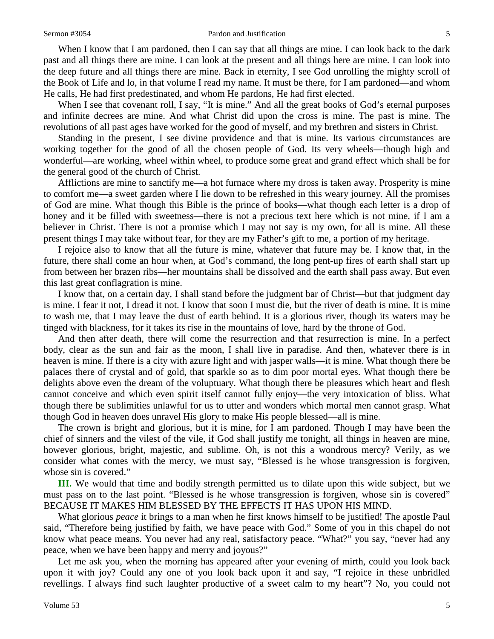### Sermon #3054 **Pardon and Justification** 5

When I know that I am pardoned, then I can say that all things are mine. I can look back to the dark past and all things there are mine. I can look at the present and all things here are mine. I can look into the deep future and all things there are mine. Back in eternity, I see God unrolling the mighty scroll of the Book of Life and lo, in that volume I read my name. It must be there, for I am pardoned—and whom He calls, He had first predestinated, and whom He pardons, He had first elected.

When I see that covenant roll, I say, "It is mine." And all the great books of God's eternal purposes and infinite decrees are mine. And what Christ did upon the cross is mine. The past is mine. The revolutions of all past ages have worked for the good of myself, and my brethren and sisters in Christ.

Standing in the present, I see divine providence and that is mine. Its various circumstances are working together for the good of all the chosen people of God. Its very wheels—though high and wonderful—are working, wheel within wheel, to produce some great and grand effect which shall be for the general good of the church of Christ.

Afflictions are mine to sanctify me—a hot furnace where my dross is taken away. Prosperity is mine to comfort me—a sweet garden where I lie down to be refreshed in this weary journey. All the promises of God are mine. What though this Bible is the prince of books—what though each letter is a drop of honey and it be filled with sweetness—there is not a precious text here which is not mine, if I am a believer in Christ. There is not a promise which I may not say is my own, for all is mine. All these present things I may take without fear, for they are my Father's gift to me, a portion of my heritage.

I rejoice also to know that all the future is mine, whatever that future may be. I know that, in the future, there shall come an hour when, at God's command, the long pent-up fires of earth shall start up from between her brazen ribs—her mountains shall be dissolved and the earth shall pass away. But even this last great conflagration is mine.

I know that, on a certain day, I shall stand before the judgment bar of Christ—but that judgment day is mine. I fear it not, I dread it not. I know that soon I must die, but the river of death is mine. It is mine to wash me, that I may leave the dust of earth behind. It is a glorious river, though its waters may be tinged with blackness, for it takes its rise in the mountains of love, hard by the throne of God.

And then after death, there will come the resurrection and that resurrection is mine. In a perfect body, clear as the sun and fair as the moon, I shall live in paradise. And then, whatever there is in heaven is mine. If there is a city with azure light and with jasper walls—it is mine. What though there be palaces there of crystal and of gold, that sparkle so as to dim poor mortal eyes. What though there be delights above even the dream of the voluptuary. What though there be pleasures which heart and flesh cannot conceive and which even spirit itself cannot fully enjoy—the very intoxication of bliss. What though there be sublimities unlawful for us to utter and wonders which mortal men cannot grasp. What though God in heaven does unravel His glory to make His people blessed—all is mine.

The crown is bright and glorious, but it is mine, for I am pardoned. Though I may have been the chief of sinners and the vilest of the vile, if God shall justify me tonight, all things in heaven are mine, however glorious, bright, majestic, and sublime. Oh, is not this a wondrous mercy? Verily, as we consider what comes with the mercy, we must say, "Blessed is he whose transgression is forgiven, whose sin is covered."

**III.** We would that time and bodily strength permitted us to dilate upon this wide subject, but we must pass on to the last point. "Blessed is he whose transgression is forgiven, whose sin is covered" BECAUSE IT MAKES HIM BLESSED BY THE EFFECTS IT HAS UPON HIS MIND.

What glorious *peace* it brings to a man when he first knows himself to be justified! The apostle Paul said, "Therefore being justified by faith, we have peace with God." Some of you in this chapel do not know what peace means. You never had any real, satisfactory peace. "What?" you say, "never had any peace, when we have been happy and merry and joyous?"

Let me ask you, when the morning has appeared after your evening of mirth, could you look back upon it with joy? Could any one of you look back upon it and say, "I rejoice in these unbridled revellings. I always find such laughter productive of a sweet calm to my heart"? No, you could not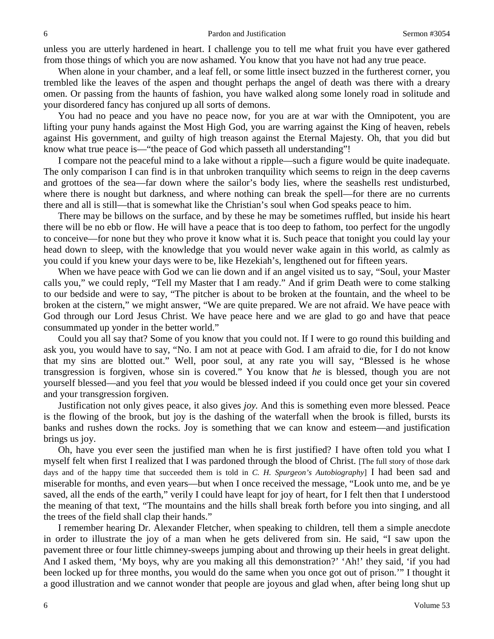unless you are utterly hardened in heart. I challenge you to tell me what fruit you have ever gathered from those things of which you are now ashamed. You know that you have not had any true peace.

When alone in your chamber, and a leaf fell, or some little insect buzzed in the furtherest corner, you trembled like the leaves of the aspen and thought perhaps the angel of death was there with a dreary omen. Or passing from the haunts of fashion, you have walked along some lonely road in solitude and your disordered fancy has conjured up all sorts of demons.

You had no peace and you have no peace now, for you are at war with the Omnipotent, you are lifting your puny hands against the Most High God, you are warring against the King of heaven, rebels against His government, and guilty of high treason against the Eternal Majesty. Oh, that you did but know what true peace is—"the peace of God which passeth all understanding"!

I compare not the peaceful mind to a lake without a ripple—such a figure would be quite inadequate. The only comparison I can find is in that unbroken tranquility which seems to reign in the deep caverns and grottoes of the sea—far down where the sailor's body lies, where the seashells rest undisturbed, where there is nought but darkness, and where nothing can break the spell—for there are no currents there and all is still—that is somewhat like the Christian's soul when God speaks peace to him.

There may be billows on the surface, and by these he may be sometimes ruffled, but inside his heart there will be no ebb or flow. He will have a peace that is too deep to fathom, too perfect for the ungodly to conceive—for none but they who prove it know what it is. Such peace that tonight you could lay your head down to sleep, with the knowledge that you would never wake again in this world, as calmly as you could if you knew your days were to be, like Hezekiah's, lengthened out for fifteen years.

When we have peace with God we can lie down and if an angel visited us to say, "Soul, your Master calls you," we could reply, "Tell my Master that I am ready." And if grim Death were to come stalking to our bedside and were to say, "The pitcher is about to be broken at the fountain, and the wheel to be broken at the cistern," we might answer, "We are quite prepared. We are not afraid. We have peace with God through our Lord Jesus Christ. We have peace here and we are glad to go and have that peace consummated up yonder in the better world."

Could you all say that? Some of you know that you could not. If I were to go round this building and ask you, you would have to say, "No. I am not at peace with God. I am afraid to die, for I do not know that my sins are blotted out." Well, poor soul, at any rate you will say, "Blessed is he whose transgression is forgiven, whose sin is covered." You know that *he* is blessed, though you are not yourself blessed—and you feel that *you* would be blessed indeed if you could once get your sin covered and your transgression forgiven.

Justification not only gives peace, it also gives *joy.* And this is something even more blessed. Peace is the flowing of the brook, but joy is the dashing of the waterfall when the brook is filled, bursts its banks and rushes down the rocks. Joy is something that we can know and esteem—and justification brings us joy.

Oh, have you ever seen the justified man when he is first justified? I have often told you what I myself felt when first I realized that I was pardoned through the blood of Christ. [The full story of those dark days and of the happy time that succeeded them is told in *C. H. Spurgeon's Autobiography*] I had been sad and miserable for months, and even years—but when I once received the message, "Look unto me, and be ye saved, all the ends of the earth," verily I could have leapt for joy of heart, for I felt then that I understood the meaning of that text, "The mountains and the hills shall break forth before you into singing, and all the trees of the field shall clap their hands."

I remember hearing Dr. Alexander Fletcher, when speaking to children, tell them a simple anecdote in order to illustrate the joy of a man when he gets delivered from sin. He said, "I saw upon the pavement three or four little chimney-sweeps jumping about and throwing up their heels in great delight. And I asked them, 'My boys, why are you making all this demonstration?' 'Ah!' they said, 'if you had been locked up for three months, you would do the same when you once got out of prison.'" I thought it a good illustration and we cannot wonder that people are joyous and glad when, after being long shut up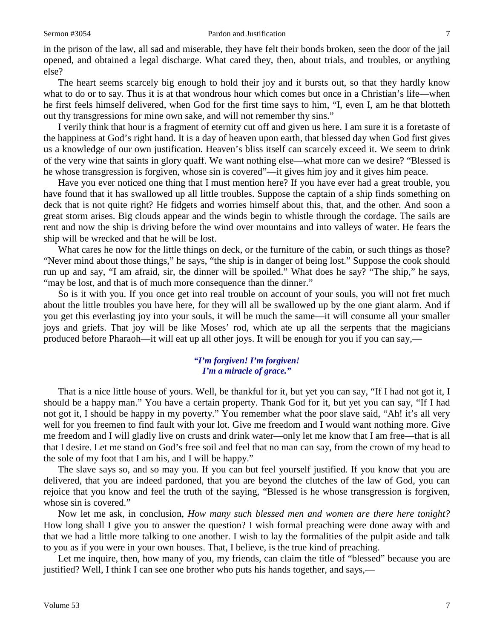in the prison of the law, all sad and miserable, they have felt their bonds broken, seen the door of the jail opened, and obtained a legal discharge. What cared they, then, about trials, and troubles, or anything else?

The heart seems scarcely big enough to hold their joy and it bursts out, so that they hardly know what to do or to say. Thus it is at that wondrous hour which comes but once in a Christian's life—when he first feels himself delivered, when God for the first time says to him, "I, even I, am he that blotteth out thy transgressions for mine own sake, and will not remember thy sins."

I verily think that hour is a fragment of eternity cut off and given us here. I am sure it is a foretaste of the happiness at God's right hand. It is a day of heaven upon earth, that blessed day when God first gives us a knowledge of our own justification. Heaven's bliss itself can scarcely exceed it. We seem to drink of the very wine that saints in glory quaff. We want nothing else—what more can we desire? "Blessed is he whose transgression is forgiven, whose sin is covered"—it gives him joy and it gives him peace.

Have you ever noticed one thing that I must mention here? If you have ever had a great trouble, you have found that it has swallowed up all little troubles. Suppose the captain of a ship finds something on deck that is not quite right? He fidgets and worries himself about this, that, and the other. And soon a great storm arises. Big clouds appear and the winds begin to whistle through the cordage. The sails are rent and now the ship is driving before the wind over mountains and into valleys of water. He fears the ship will be wrecked and that he will be lost.

What cares he now for the little things on deck, or the furniture of the cabin, or such things as those? "Never mind about those things," he says, "the ship is in danger of being lost." Suppose the cook should run up and say, "I am afraid, sir, the dinner will be spoiled." What does he say? "The ship," he says, "may be lost, and that is of much more consequence than the dinner."

So is it with you. If you once get into real trouble on account of your souls, you will not fret much about the little troubles you have here, for they will all be swallowed up by the one giant alarm. And if you get this everlasting joy into your souls, it will be much the same—it will consume all your smaller joys and griefs. That joy will be like Moses' rod, which ate up all the serpents that the magicians produced before Pharaoh—it will eat up all other joys. It will be enough for you if you can say,—

## *"I'm forgiven! I'm forgiven! I'm a miracle of grace."*

That is a nice little house of yours. Well, be thankful for it, but yet you can say, "If I had not got it, I should be a happy man." You have a certain property. Thank God for it, but yet you can say, "If I had not got it, I should be happy in my poverty." You remember what the poor slave said, "Ah! it's all very well for you freemen to find fault with your lot. Give me freedom and I would want nothing more. Give me freedom and I will gladly live on crusts and drink water—only let me know that I am free—that is all that I desire. Let me stand on God's free soil and feel that no man can say, from the crown of my head to the sole of my foot that I am his, and I will be happy."

The slave says so, and so may you. If you can but feel yourself justified. If you know that you are delivered, that you are indeed pardoned, that you are beyond the clutches of the law of God, you can rejoice that you know and feel the truth of the saying, "Blessed is he whose transgression is forgiven, whose sin is covered."

Now let me ask, in conclusion, *How many such blessed men and women are there here tonight?*  How long shall I give you to answer the question? I wish formal preaching were done away with and that we had a little more talking to one another. I wish to lay the formalities of the pulpit aside and talk to you as if you were in your own houses. That, I believe, is the true kind of preaching.

Let me inquire, then, how many of you, my friends, can claim the title of "blessed" because you are justified? Well, I think I can see one brother who puts his hands together, and says,—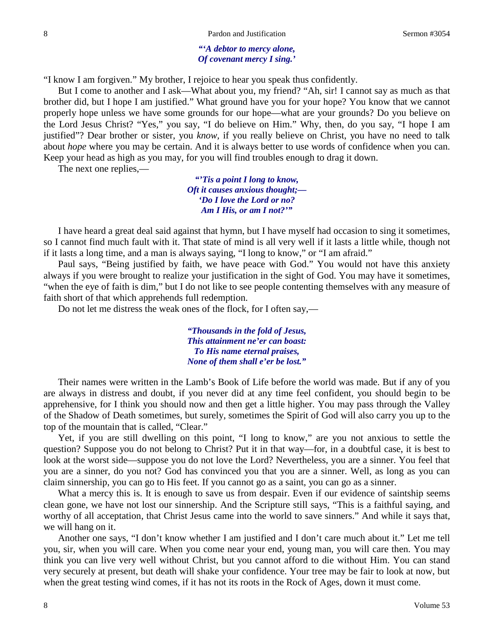## *"'A debtor to mercy alone, Of covenant mercy I sing.'*

"I know I am forgiven." My brother, I rejoice to hear you speak thus confidently.

But I come to another and I ask—What about you, my friend? "Ah, sir! I cannot say as much as that brother did, but I hope I am justified." What ground have you for your hope? You know that we cannot properly hope unless we have some grounds for our hope—what are your grounds? Do you believe on the Lord Jesus Christ? "Yes," you say, "I do believe on Him." Why, then, do you say, "I hope I am justified"? Dear brother or sister, you *know,* if you really believe on Christ, you have no need to talk about *hope* where you may be certain. And it is always better to use words of confidence when you can. Keep your head as high as you may, for you will find troubles enough to drag it down.

The next one replies,—

*"'Tis a point I long to know, Oft it causes anxious thought;— 'Do I love the Lord or no? Am I His, or am I not?'"*

I have heard a great deal said against that hymn, but I have myself had occasion to sing it sometimes, so I cannot find much fault with it. That state of mind is all very well if it lasts a little while, though not if it lasts a long time, and a man is always saying, "I long to know," or "I am afraid."

Paul says, "Being justified by faith, we have peace with God." You would not have this anxiety always if you were brought to realize your justification in the sight of God. You may have it sometimes, "when the eye of faith is dim," but I do not like to see people contenting themselves with any measure of faith short of that which apprehends full redemption.

Do not let me distress the weak ones of the flock, for I often say,—

*"Thousands in the fold of Jesus, This attainment ne'er can boast: To His name eternal praises, None of them shall e'er be lost."*

Their names were written in the Lamb's Book of Life before the world was made. But if any of you are always in distress and doubt, if you never did at any time feel confident, you should begin to be apprehensive, for I think you should now and then get a little higher. You may pass through the Valley of the Shadow of Death sometimes, but surely, sometimes the Spirit of God will also carry you up to the top of the mountain that is called, "Clear."

Yet, if you are still dwelling on this point, "I long to know," are you not anxious to settle the question? Suppose you do not belong to Christ? Put it in that way—for, in a doubtful case, it is best to look at the worst side—suppose you do not love the Lord? Nevertheless, you are a sinner. You feel that you are a sinner, do you not? God has convinced you that you are a sinner. Well, as long as you can claim sinnership, you can go to His feet. If you cannot go as a saint, you can go as a sinner.

What a mercy this is. It is enough to save us from despair. Even if our evidence of saintship seems clean gone, we have not lost our sinnership. And the Scripture still says, "This is a faithful saying, and worthy of all acceptation, that Christ Jesus came into the world to save sinners." And while it says that, we will hang on it.

Another one says, "I don't know whether I am justified and I don't care much about it." Let me tell you, sir, when you will care. When you come near your end, young man, you will care then. You may think you can live very well without Christ, but you cannot afford to die without Him. You can stand very securely at present, but death will shake your confidence. Your tree may be fair to look at now, but when the great testing wind comes, if it has not its roots in the Rock of Ages, down it must come.